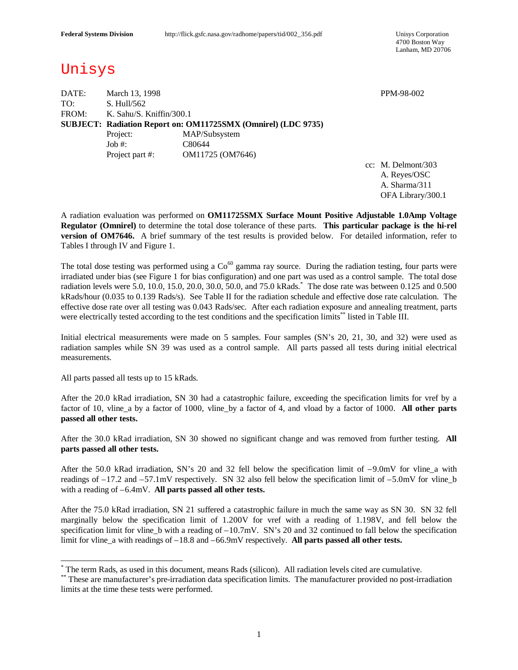4700 Boston Way Lanham, MD 20706

# Unisys

DATE: March 13, 1998 PPM-98-002 TO: S. Hull/562 FROM: K. Sahu/S. Kniffin/300.1 **SUBJECT: Radiation Report on: OM11725SMX (Omnirel) (LDC 9735)** Project: MAP/Subsystem Job #: C80644 Project part #: OM11725 (OM7646)

cc: M. Delmont/303 A. Reyes/OSC A. Sharma/311 OFA Library/300.1

A radiation evaluation was performed on **OM11725SMX Surface Mount Positive Adjustable 1.0Amp Voltage Regulator (Omnirel)** to determine the total dose tolerance of these parts. **This particular package is the hi-rel version of OM7646.** A brief summary of the test results is provided below. For detailed information, refer to Tables I through IV and Figure 1.

The total dose testing was performed using a  $Co<sup>60</sup>$  gamma ray source. During the radiation testing, four parts were irradiated under bias (see Figure 1 for bias configuration) and one part was used as a control sample. The total dose radiation levels were 5.0, 10.0, 15.0, 20.0, 30.0, 50.0, and 75.0 kRads. \* The dose rate was between 0.125 and 0.500 kRads/hour (0.035 to 0.139 Rads/s). See Table II for the radiation schedule and effective dose rate calculation. The effective dose rate over all testing was 0.043 Rads/sec. After each radiation exposure and annealing treatment, parts were electrically tested according to the test conditions and the specification limits\*\* listed in Table III.

Initial electrical measurements were made on 5 samples. Four samples (SN's 20, 21, 30, and 32) were used as radiation samples while SN 39 was used as a control sample. All parts passed all tests during initial electrical measurements.

All parts passed all tests up to 15 kRads.

 $\overline{\phantom{a}}$ 

After the 20.0 kRad irradiation, SN 30 had a catastrophic failure, exceeding the specification limits for vref by a factor of 10, vline\_a by a factor of 1000, vline\_by a factor of 4, and vload by a factor of 1000. **All other parts passed all other tests.**

After the 30.0 kRad irradiation, SN 30 showed no significant change and was removed from further testing. **All parts passed all other tests.**

After the 50.0 kRad irradiation, SN's 20 and 32 fell below the specification limit of –9.0mV for vline\_a with readings of –17.2 and –57.1mV respectively. SN 32 also fell below the specification limit of –5.0mV for vline\_b with a reading of –6.4mV. **All parts passed all other tests.**

After the 75.0 kRad irradiation, SN 21 suffered a catastrophic failure in much the same way as SN 30. SN 32 fell marginally below the specification limit of 1.200V for vref with a reading of 1.198V, and fell below the specification limit for vline\_b with a reading of –10.7mV. SN's 20 and 32 continued to fall below the specification limit for vline\_a with readings of –18.8 and –66.9mV respectively. **All parts passed all other tests.**

<sup>\*</sup> The term Rads, as used in this document, means Rads (silicon). All radiation levels cited are cumulative.

<sup>\*\*</sup> These are manufacturer's pre-irradiation data specification limits. The manufacturer provided no post-irradiation limits at the time these tests were performed.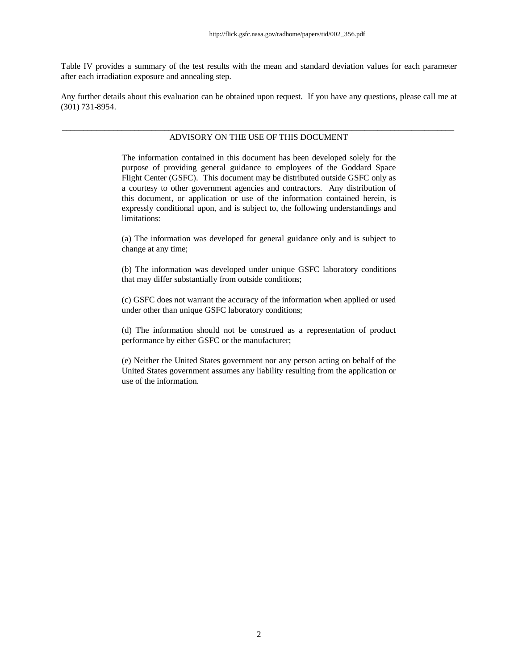Table IV provides a summary of the test results with the mean and standard deviation values for each parameter after each irradiation exposure and annealing step.

Any further details about this evaluation can be obtained upon request. If you have any questions, please call me at (301) 731-8954.

#### \_\_\_\_\_\_\_\_\_\_\_\_\_\_\_\_\_\_\_\_\_\_\_\_\_\_\_\_\_\_\_\_\_\_\_\_\_\_\_\_\_\_\_\_\_\_\_\_\_\_\_\_\_\_\_\_\_\_\_\_\_\_\_\_\_\_\_\_\_\_\_\_\_\_\_\_\_\_\_\_\_\_\_\_\_\_\_\_\_\_\_\_ ADVISORY ON THE USE OF THIS DOCUMENT

The information contained in this document has been developed solely for the purpose of providing general guidance to employees of the Goddard Space Flight Center (GSFC). This document may be distributed outside GSFC only as a courtesy to other government agencies and contractors. Any distribution of this document, or application or use of the information contained herein, is expressly conditional upon, and is subject to, the following understandings and limitations:

(a) The information was developed for general guidance only and is subject to change at any time;

(b) The information was developed under unique GSFC laboratory conditions that may differ substantially from outside conditions;

(c) GSFC does not warrant the accuracy of the information when applied or used under other than unique GSFC laboratory conditions;

(d) The information should not be construed as a representation of product performance by either GSFC or the manufacturer;

(e) Neither the United States government nor any person acting on behalf of the United States government assumes any liability resulting from the application or use of the information.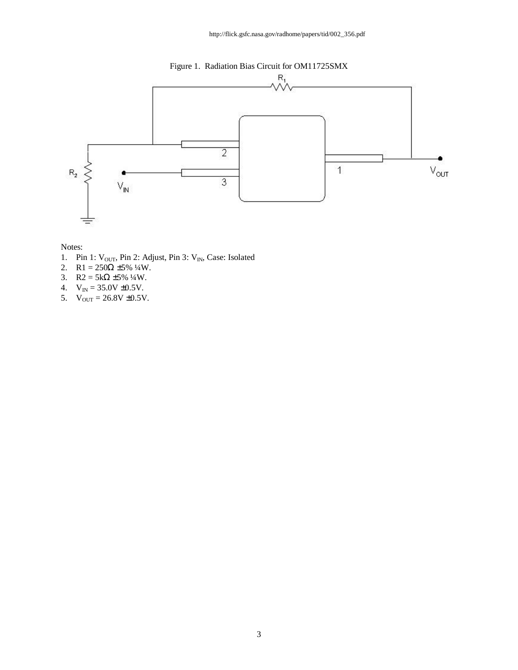



- 1. Pin 1:  $V_{OUT}$ , Pin 2: Adjust, Pin 3:  $V_{IN}$ , Case: Isolated
- 2. R1 =  $250\Omega \pm 5\%$  ¼W.
- 3. R2 =  $5k\Omega \pm 5\%$  ¼W.
- 4.  $V_{IN} = 35.0V \pm 0.5V$ .
- 5.  $V_{OUT} = 26.8V \pm 0.5V$ .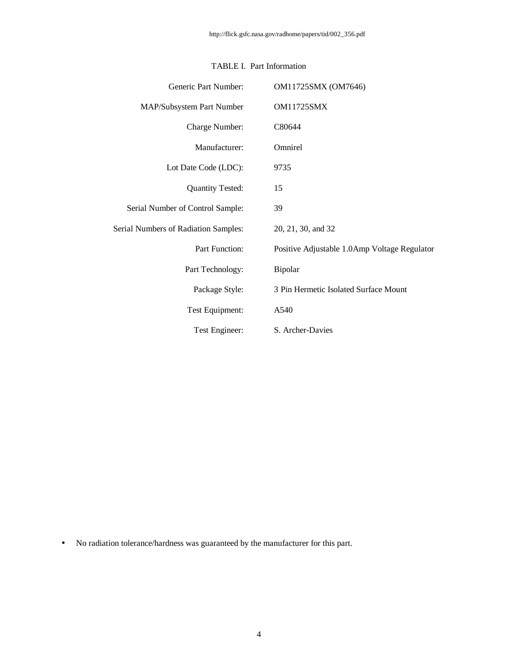| Generic Part Number:                        | OM11725SMX (OM7646)                          |
|---------------------------------------------|----------------------------------------------|
| MAP/Subsystem Part Number                   | <b>OM11725SMX</b>                            |
| Charge Number:                              | C80644                                       |
| Manufacturer:                               | Omnirel                                      |
| Lot Date Code (LDC):                        | 9735                                         |
| <b>Quantity Tested:</b>                     | 15                                           |
| Serial Number of Control Sample:            | 39                                           |
| <b>Serial Numbers of Radiation Samples:</b> | 20, 21, 30, and 32                           |
| Part Function:                              | Positive Adjustable 1.0Amp Voltage Regulator |
| Part Technology:                            | Bipolar                                      |
| Package Style:                              | 3 Pin Hermetic Isolated Surface Mount        |
| Test Equipment:                             | A540                                         |
| Test Engineer:                              | S. Archer-Davies                             |

### TABLE I. Part Information

• No radiation tolerance/hardness was guaranteed by the manufacturer for this part.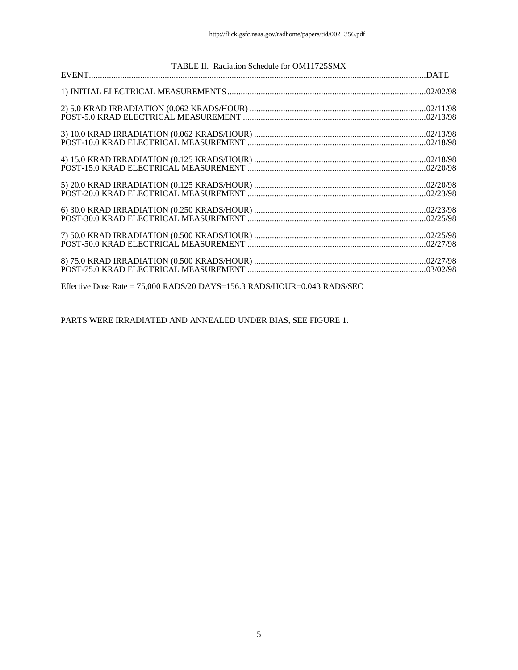| TABLE II. Radiation Schedule for OM11725SMX                                |  |
|----------------------------------------------------------------------------|--|
|                                                                            |  |
|                                                                            |  |
|                                                                            |  |
|                                                                            |  |
|                                                                            |  |
|                                                                            |  |
|                                                                            |  |
|                                                                            |  |
|                                                                            |  |
| Effective Dose Rate = $75,000$ RADS/20 DAYS=156.3 RADS/HOUR=0.043 RADS/SEC |  |

PARTS WERE IRRADIATED AND ANNEALED UNDER BIAS, SEE FIGURE 1.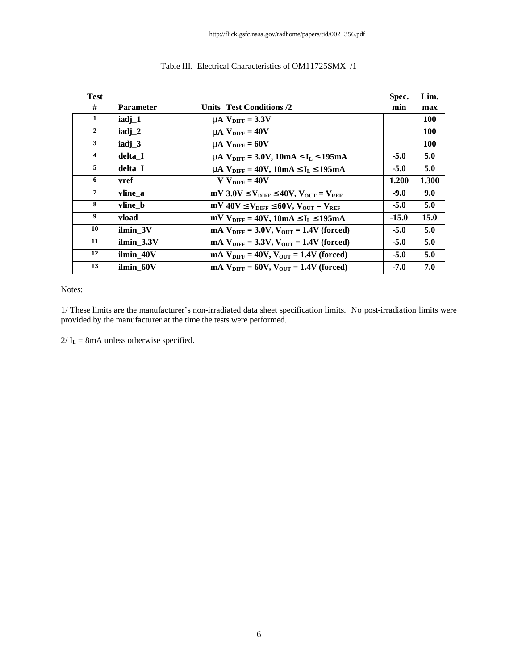| <b>Test</b>    |                   |                                                                        | Spec.   | Lim.       |
|----------------|-------------------|------------------------------------------------------------------------|---------|------------|
| #              | <b>Parameter</b>  | Units Test Conditions /2                                               | min     | max        |
| 1              | iadj_1            | $mN_{\text{DIFF}} = 3.3V$                                              |         | <b>100</b> |
| $\overline{2}$ | iadj_2            | $mN_{\text{DIFF}} = 40V$                                               |         | <b>100</b> |
| $\mathbf{3}$   | iadj <sub>3</sub> | $mN_{\text{DIFF}} = 60V$                                               |         | <b>100</b> |
| $\overline{4}$ | delta I           | $mA$ $V_{\text{DIFF}}$ = 3.0V, 10mA £I <sub>L</sub> £195mA             | $-5.0$  | 5.0        |
| 5              | delta I           | $mA$ $V_{\text{DIFF}}$ = 40V, 10mA £I <sub>L</sub> £195mA              | $-5.0$  | 5.0        |
| 6              | vref              | $V V_{\text{DIFF}} = 40V$                                              | 1.200   | 1.300      |
| 7              | vline a           | $mV$ 3.0V £ $V_{\text{DIFF}}$ £40V, $V_{\text{OUT}} = V_{\text{REF}}$  | $-9.0$  | 9.0        |
| 8              | vline b           | $mV$ 40V £ $V_{\text{DIFF}}$ £60V, $V_{\text{OUT}}$ = $V_{\text{REF}}$ | $-5.0$  | 5.0        |
| 9              | vload             | $mV V_{\text{DIFF}} = 40V, 10mA \mathcal{L}I_L \mathcal{L}195mA$       | $-15.0$ | 15.0       |
| 10             | ilmin 3V          | $mA V_{\text{DIFF}} = 3.0V, V_{\text{OUT}} = 1.4V \text{ (forced)}$    | $-5.0$  | 5.0        |
| 11             | ilmin 3.3V        | $mA V_{\text{DIFF}} = 3.3V, V_{\text{OUT}} = 1.4V \text{ (forced)}$    | $-5.0$  | 5.0        |
| 12             | ilmin 40V         | $mA V_{\text{DIFF}} = 40V, V_{\text{OUT}} = 1.4V \text{ (forced)}$     | $-5.0$  | 5.0        |
| 13             | ilmin 60V         | $mAV_{\text{DIFF}} = 60V$ , $V_{\text{OUT}} = 1.4V$ (forced)           | $-7.0$  | 7.0        |

### Table III. Electrical Characteristics of OM11725SMX /1

Notes:

1/ These limits are the manufacturer's non-irradiated data sheet specification limits. No post-irradiation limits were provided by the manufacturer at the time the tests were performed.

 $2/\mathrm{I}_L = 8\mathrm{mA}$  unless otherwise specified.